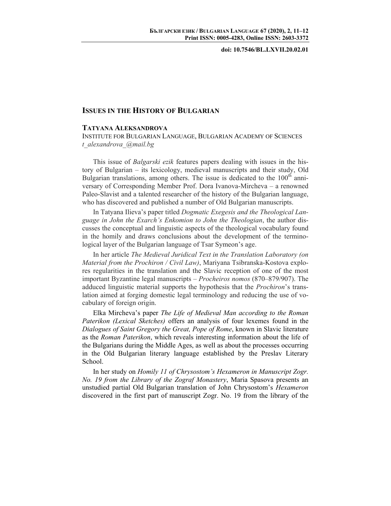**doi: 10.7546/BL.LXVII.20.02.01** 

## **ISSUES IN THE HISTORY OF BULGARIAN**

## **TATYANA ALEKSANDROVA**

INSTITUTE FOR BULGARIAN LANGUAGE, BULGARIAN ACADEMY OF SCIENCES *t\_alexandrova\_@mail.bg* 

This issue of *Balgarski ezik* features papers dealing with issues in the history of Bulgarian – its lexicology, medieval manuscripts and their study, Old Bulgarian translations, among others. The issue is dedicated to the  $100<sup>th</sup>$  anniversary of Corresponding Member Prof. Dora Ivanova-Mircheva – a renowned Paleo-Slavist and a talented researcher of the history of the Bulgarian language, who has discovered and published a number of Old Bulgarian manuscripts.

In Tatyana Ilieva's paper titled *Dogmatic Exegesis and the Theological Language in John the Exarch's Enkomion to John the Theologian*, the author discusses the conceptual and linguistic aspects of the theological vocabulary found in the homily and draws conclusions about the development of the terminological layer of the Bulgarian language of Tsar Symeon's age.

In her article *The Medieval Juridical Text in the Translation Laboratory (on Мaterial from the Prochiron / Civil Law)*, Mariyana Tsibranska-Kostova explores regularities in the translation and the Slavic reception of one of the most important Byzantine legal manuscripts – *Procheiros nomos* (870–879/907). The adduced linguistic material supports the hypothesis that the *Prochiron*'s translation aimed at forging domestic legal terminology and reducing the use of vocabulary of foreign origin.

Elka Mirchevа's paper *The Life of Medieval Man according to the Roman Paterikon (Lexical Sketches)* offers an analysis of four lexemes found in the *Dialogues of Saint Gregory the Great, Pope of Rome*, known in Slavic literature as the *Roman Paterikon*, which reveals interesting information about the life of the Bulgarians during the Middle Ages, as well as about the processes occurring in the Old Bulgarian literary language established by the Preslav Literary School.

In her study on *Homily 11 of Chrysostom's Hexameron in Manuscript Zogr. No. 19 from the Library of the Zograf Monastery*, Maria Spasova presents an unstudied partial Old Bulgarian translation of John Chrysostom's *Hexameron*  discovered in the first part of manuscript Zogr. No. 19 from the library of the